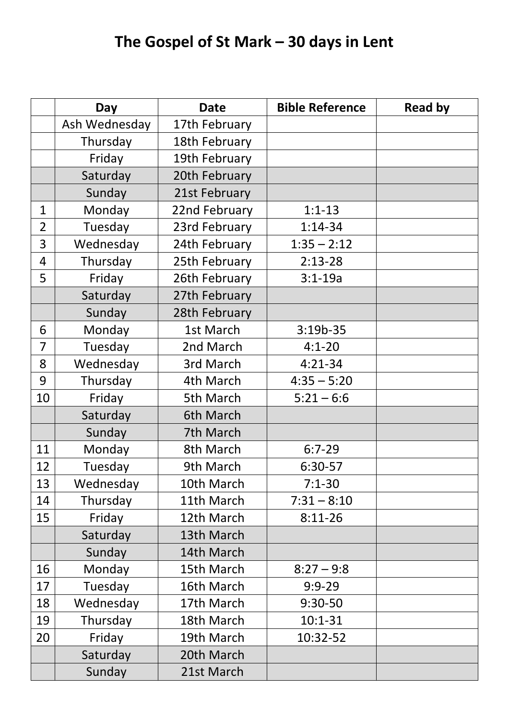## **The Gospel of St Mark – 30 days in Lent**

|                | Day           | <b>Date</b>   | <b>Bible Reference</b> | <b>Read by</b> |
|----------------|---------------|---------------|------------------------|----------------|
|                | Ash Wednesday | 17th February |                        |                |
|                | Thursday      | 18th February |                        |                |
|                | Friday        | 19th February |                        |                |
|                | Saturday      | 20th February |                        |                |
|                | Sunday        | 21st February |                        |                |
| $\mathbf{1}$   | Monday        | 22nd February | $1:1 - 13$             |                |
| $\overline{2}$ | Tuesday       | 23rd February | $1:14-34$              |                |
| 3              | Wednesday     | 24th February | $1:35 - 2:12$          |                |
| 4              | Thursday      | 25th February | $2:13-28$              |                |
| 5              | Friday        | 26th February | $3:1 - 19a$            |                |
|                | Saturday      | 27th February |                        |                |
|                | Sunday        | 28th February |                        |                |
| 6              | Monday        | 1st March     | $3:19b-35$             |                |
| 7              | Tuesday       | 2nd March     | $4:1 - 20$             |                |
| 8              | Wednesday     | 3rd March     | $4:21-34$              |                |
| 9              | Thursday      | 4th March     | $4:35 - 5:20$          |                |
| 10             | Friday        | 5th March     | $5:21 - 6:6$           |                |
|                | Saturday      | 6th March     |                        |                |
|                | Sunday        | 7th March     |                        |                |
| 11             | Monday        | 8th March     | $6:7-29$               |                |
| 12             | Tuesday       | 9th March     | 6:30-57                |                |
| 13             | Wednesday     | 10th March    | $7:1 - 30$             |                |
| 14             | Thursday      | 11th March    | $7:31 - 8:10$          |                |
| 15             | Friday        | 12th March    | $8:11-26$              |                |
|                | Saturday      | 13th March    |                        |                |
|                | Sunday        | 14th March    |                        |                |
| 16             | Monday        | 15th March    | $8:27 - 9:8$           |                |
| 17             | Tuesday       | 16th March    | $9:9 - 29$             |                |
| 18             | Wednesday     | 17th March    | $9:30-50$              |                |
| 19             | Thursday      | 18th March    | $10:1 - 31$            |                |
| 20             | Friday        | 19th March    | 10:32-52               |                |
|                | Saturday      | 20th March    |                        |                |
|                | Sunday        | 21st March    |                        |                |